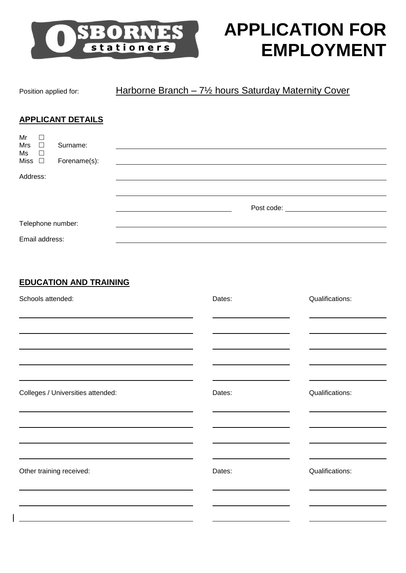

# **APPLICATION FOR EMPLOYMENT**

## Position applied for: Harborne Branch – 7<sup>1</sup>/<sub>2</sub> hours Saturday Maternity Cover

#### **APPLICANT DETAILS**

| Mr<br><b>Mrs</b>  | Г<br>$\Box$    | Surname:     |                                     |
|-------------------|----------------|--------------|-------------------------------------|
| $Ms$ $\Box$       |                |              |                                     |
| Miss $\square$    |                | Forename(s): |                                     |
| Address:          |                |              |                                     |
|                   |                |              |                                     |
|                   |                |              |                                     |
|                   |                |              | Post code: ________________________ |
| Telephone number: |                |              |                                     |
|                   |                |              |                                     |
|                   | Email address: |              |                                     |

#### **EDUCATION AND TRAINING**

| Schools attended:                                                                                                                                                                                                                                                  | Dates: | Qualifications: |
|--------------------------------------------------------------------------------------------------------------------------------------------------------------------------------------------------------------------------------------------------------------------|--------|-----------------|
|                                                                                                                                                                                                                                                                    |        |                 |
| the control of the control of the control of the control of the control of the control of the control of the control of the control of the control of the control of the control of the control of the control of the control                                      |        |                 |
|                                                                                                                                                                                                                                                                    |        |                 |
| the control of the control of the control of the control of the control of the control of the control of the control of the control of the control of the control of the control of the control of the control of the control<br>Colleges / Universities attended: | Dates: | Qualifications: |
| <u> 1989 - Johann Stoff, amerikansk politiker (d. 1989)</u>                                                                                                                                                                                                        |        |                 |
| <u> 1989 - Johann Stoff, amerikansk politiker (* 1908)</u>                                                                                                                                                                                                         |        |                 |
| Other training received:                                                                                                                                                                                                                                           | Dates: | Qualifications: |
|                                                                                                                                                                                                                                                                    |        |                 |
|                                                                                                                                                                                                                                                                    |        |                 |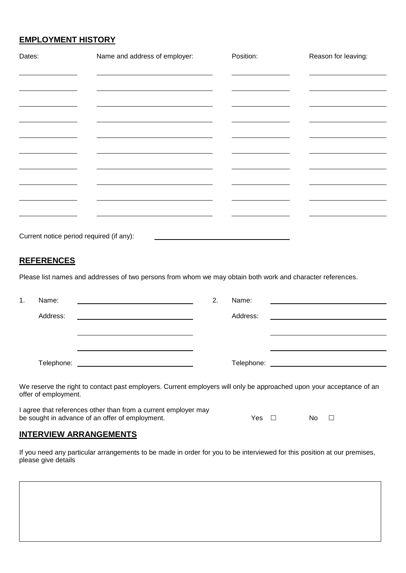#### **EMPLOYMENT HISTORY**

| Dates:                                   | Name and address of employer: | Position:                                                   | Reason for leaving: |
|------------------------------------------|-------------------------------|-------------------------------------------------------------|---------------------|
|                                          |                               |                                                             |                     |
|                                          |                               |                                                             |                     |
|                                          |                               |                                                             |                     |
|                                          |                               |                                                             |                     |
|                                          |                               |                                                             |                     |
|                                          |                               |                                                             |                     |
|                                          |                               |                                                             |                     |
|                                          |                               |                                                             |                     |
|                                          |                               |                                                             |                     |
|                                          |                               |                                                             |                     |
|                                          |                               |                                                             |                     |
| Current notice period required (if any): |                               | <u> 1990 - Andrea Andrews, amerikansk politik (d. 1980)</u> |                     |

#### **REFERENCES**

Please list names and addresses of two persons from whom we may obtain both work and character references.

| 1. | Name:<br><u> 1980 - Andrea Andrew Maria (h. 1980).</u>                                                               | 2. | Name: |  |
|----|----------------------------------------------------------------------------------------------------------------------|----|-------|--|
|    | Address:                                                                                                             |    |       |  |
|    |                                                                                                                      |    |       |  |
|    |                                                                                                                      |    |       |  |
|    |                                                                                                                      |    |       |  |
|    | We reserve the right to contact past employers. Current employers will only be approached upon your acceptance of an |    |       |  |
|    |                                                                                                                      |    |       |  |

offer of employment.

I agree that references other than from a current employer may be sought in advance of an offer of employment.  $Y$   $Y$ es  $\Box$  No  $\Box$ 

#### **INTERVIEW ARRANGEMENTS**

If you need any particular arrangements to be made in order for you to be interviewed for this position at our premises, please give details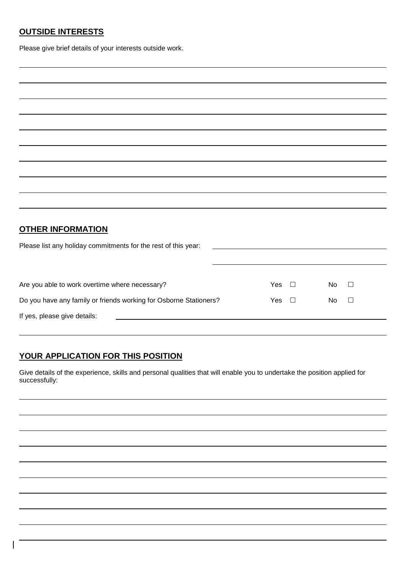#### **OUTSIDE INTERESTS**

Please give brief details of your interests outside work.

| <b>OTHER INFORMATION</b>                                          |                                                                                                                       |        |    |        |
|-------------------------------------------------------------------|-----------------------------------------------------------------------------------------------------------------------|--------|----|--------|
| Please list any holiday commitments for the rest of this year:    | <u> 1980 - Johann Barn, amerikan bestemannten bestemannten bestemannten aus dem Europa von dem Europa von dem Eur</u> |        |    |        |
|                                                                   |                                                                                                                       |        |    |        |
|                                                                   |                                                                                                                       |        |    |        |
| Are you able to work overtime where necessary?                    | Yes                                                                                                                   | $\Box$ | No | $\Box$ |
| Do you have any family or friends working for Osborne Stationers? | Yes                                                                                                                   | $\Box$ | No | П      |
| If yes, please give details:                                      |                                                                                                                       |        |    |        |
|                                                                   |                                                                                                                       |        |    |        |

### **YOUR APPLICATION FOR THIS POSITION**

Give details of the experience, skills and personal qualities that will enable you to undertake the position applied for successfully: